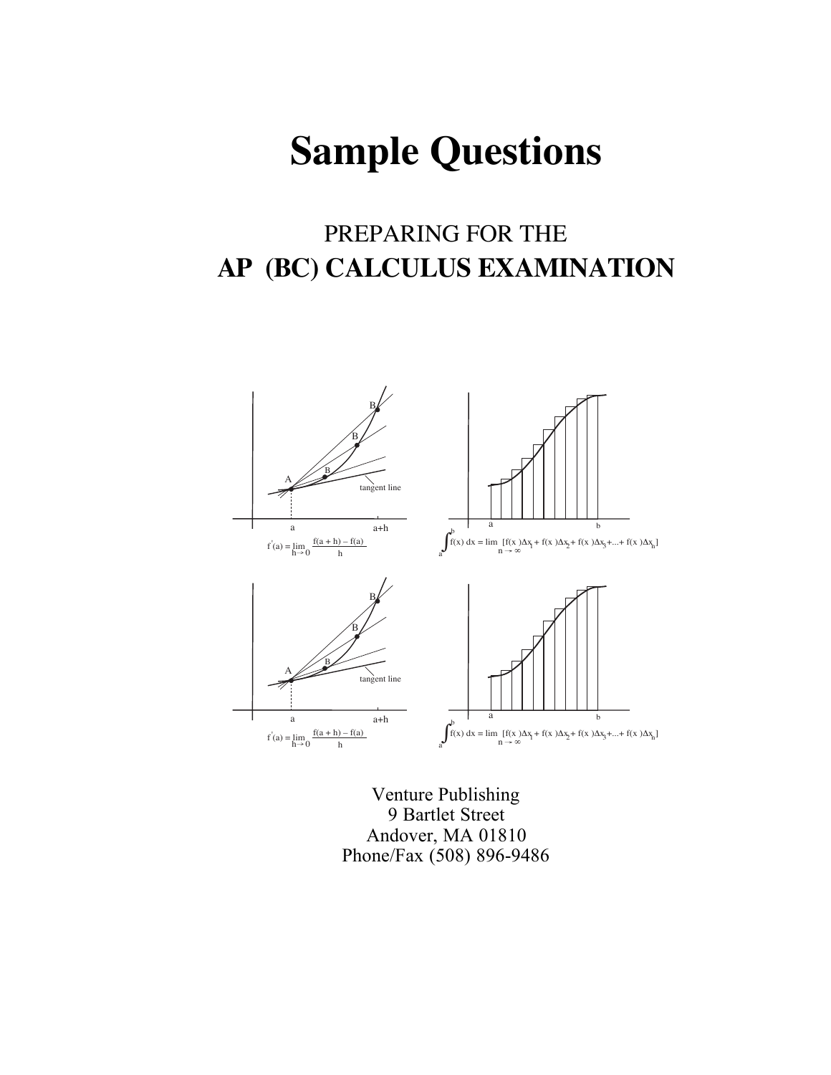# **Sample Questions**

# PREPARING FOR THE **AP (BC) CALCULUS EXAMINATION**



Venture Publishing 9 Bartlet Street Andover, MA 01810 Phone/Fax (508) 896-9486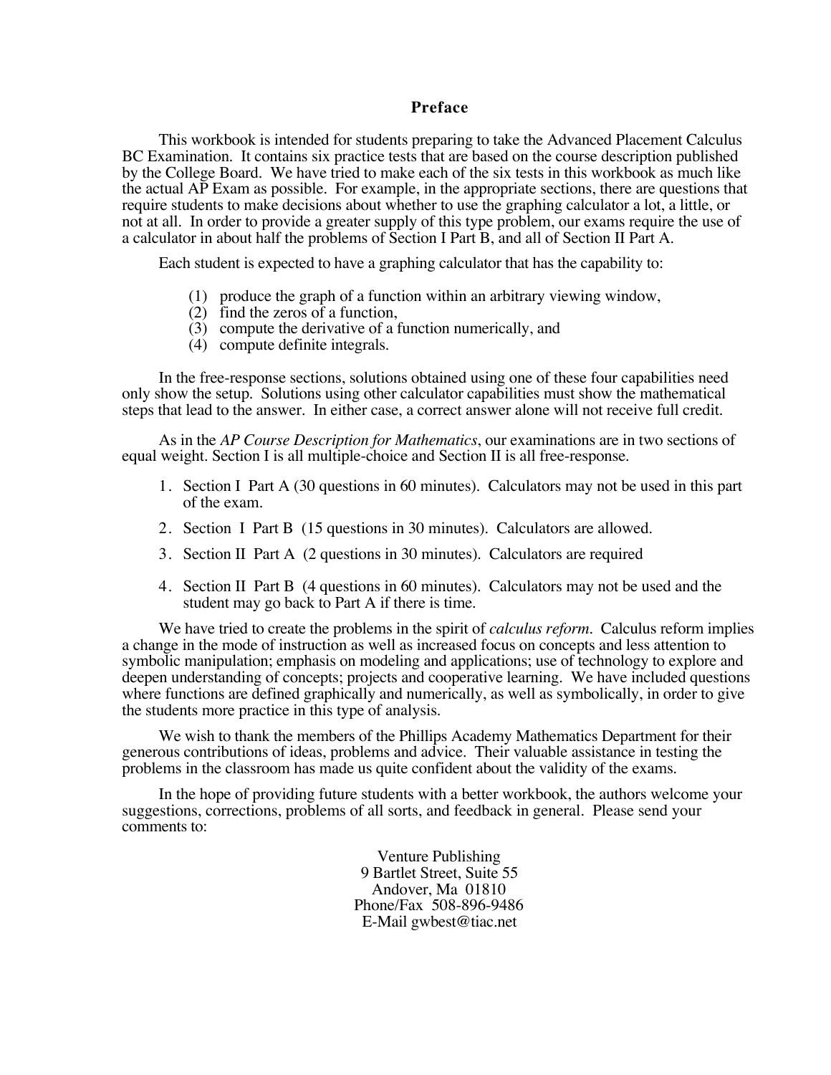#### **Preface**

This workbook is intended for students preparing to take the Advanced Placement Calculus BC Examination. It contains six practice tests that are based on the course description published by the College Board. We have tried to make each of the six tests in this workbook as much like the actual AP Exam as possible. For example, in the appropriate sections, there are questions that require students to make decisions about whether to use the graphing calculator a lot, a little, or not at all. In order to provide a greater supply of this type problem, our exams require the use of a calculator in about half the problems of Section I Part B, and all of Section II Part A.

Each student is expected to have a graphing calculator that has the capability to:

- (1) produce the graph of a function within an arbitrary viewing window,
- (2) find the zeros of a function,
- (3) compute the derivative of a function numerically, and
- (4) compute definite integrals.

In the free-response sections, solutions obtained using one of these four capabilities need only show the setup. Solutions using other calculator capabilities must show the mathematical steps that lead to the answer. In either case, a correct answer alone will not receive full credit.

As in the *AP Course Description for Mathematics*, our examinations are in two sections of equal weight. Section I is all multiple-choice and Section II is all free-response.

- 1. Section I Part A (30 questions in 60 minutes). Calculators may not be used in this part of the exam.
- 2. Section I Part B (15 questions in 30 minutes). Calculators are allowed.
- 3. Section II Part A (2 questions in 30 minutes). Calculators are required
- 4. Section II Part B (4 questions in 60 minutes). Calculators may not be used and the student may go back to Part A if there is time.

We have tried to create the problems in the spirit of *calculus reform*. Calculus reform implies a change in the mode of instruction as well as increased focus on concepts and less attention to symbolic manipulation; emphasis on modeling and applications; use of technology to explore and deepen understanding of concepts; projects and cooperative learning. We have included questions where functions are defined graphically and numerically, as well as symbolically, in order to give the students more practice in this type of analysis.

We wish to thank the members of the Phillips Academy Mathematics Department for their generous contributions of ideas, problems and advice. Their valuable assistance in testing the problems in the classroom has made us quite confident about the validity of the exams.

In the hope of providing future students with a better workbook, the authors welcome your suggestions, corrections, problems of all sorts, and feedback in general. Please send your comments to:

> Venture Publishing 9 Bartlet Street, Suite 55 Andover, Ma 01810 Phone/Fax 508-896-9486 E-Mail gwbest@tiac.net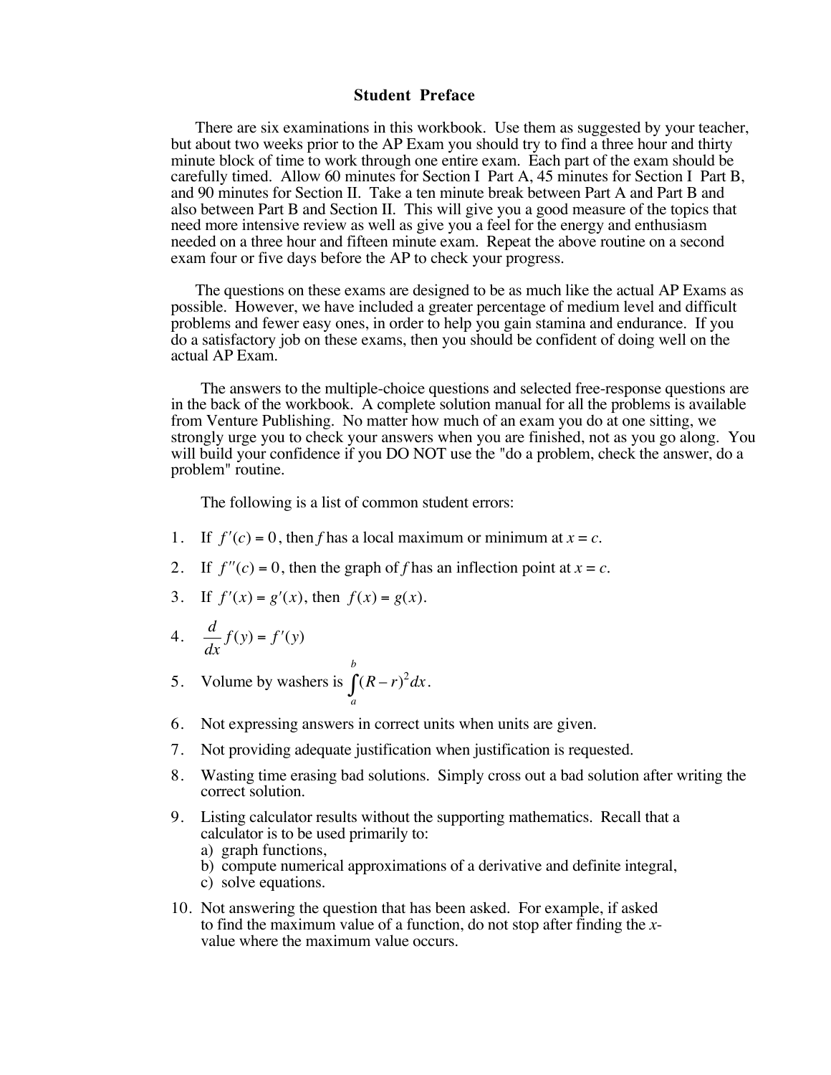#### **Student Preface**

There are six examinations in this workbook. Use them as suggested by your teacher, but about two weeks prior to the AP Exam you should try to find a three hour and thirty minute block of time to work through one entire exam. Each part of the exam should be carefully timed. Allow 60 minutes for Section I Part A, 45 minutes for Section I Part B, and 90 minutes for Section II. Take a ten minute break between Part A and Part B and also between Part B and Section II. This will give you a good measure of the topics that need more intensive review as well as give you a feel for the energy and enthusiasm needed on a three hour and fifteen minute exam. Repeat the above routine on a second exam four or five days before the AP to check your progress.

The questions on these exams are designed to be as much like the actual AP Exams as possible. However, we have included a greater percentage of medium level and difficult problems and fewer easy ones, in order to help you gain stamina and endurance. If you do a satisfactory job on these exams, then you should be confident of doing well on the actual AP Exam.

The answers to the multiple-choice questions and selected free-response questions are in the back of the workbook. A complete solution manual for all the problems is available from Venture Publishing. No matter how much of an exam you do at one sitting, we strongly urge you to check your answers when you are finished, not as you go along. You will build your confidence if you DO NOT use the "do a problem, check the answer, do a problem" routine.

The following is a list of common student errors:

- 1. If  $f'(c) = 0$ , then *f* has a local maximum or minimum at  $x = c$ .
- 2. If  $f''(c) = 0$ , then the graph of f has an inflection point at  $x = c$ .
- 3. If  $f'(x) = g'(x)$ , then  $f(x) = g(x)$ .
- 4.  $\frac{d}{dx} f(y) = f'(y)$
- 5. Volume by washers is  $\int (R r)^2 dx$ *a b*  $\int (R-r)^2 dx$ .
- 6. Not expressing answers in correct units when units are given.
- 7. Not providing adequate justification when justification is requested.
- 8. Wasting time erasing bad solutions. Simply cross out a bad solution after writing the correct solution.
- 9. Listing calculator results without the supporting mathematics. Recall that a calculator is to be used primarily to:
	- a) graph functions,
	- b) compute numerical approximations of a derivative and definite integral,
	- c) solve equations.
- 10. Not answering the question that has been asked. For example, if asked to find the maximum value of a function, do not stop after finding the *x*- value where the maximum value occurs.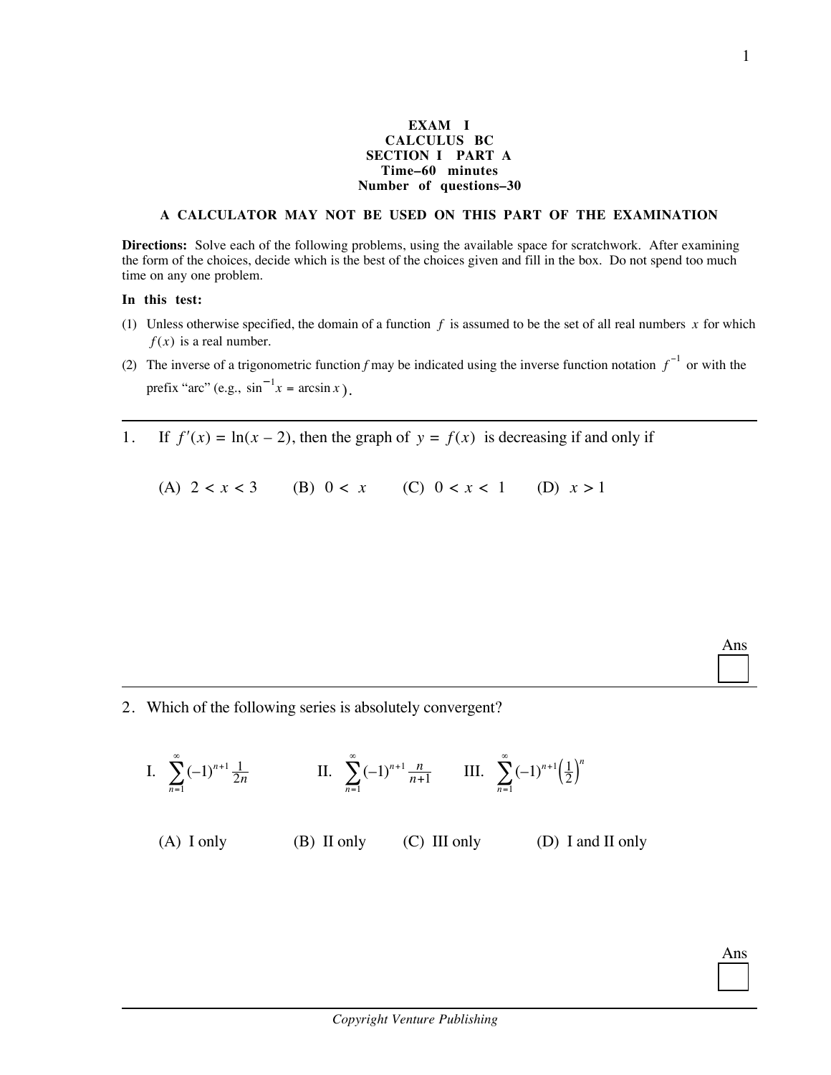#### **EXAM I CALCULUS BC SECTION I PART A Time–60 minutes Number of questions–30**

#### **A CALCULATOR MAY NOT BE USED ON THIS PART OF THE EXAMINATION**

**Directions:** Solve each of the following problems, using the available space for scratchwork. After examining the form of the choices, decide which is the best of the choices given and fill in the box. Do not spend too much time on any one problem.

#### **In this test:**

 $\overline{a}$ 

 $\overline{a}$ 

 $\overline{a}$ 

- (1) Unless otherwise specified, the domain of a function  $f$  is assumed to be the set of all real numbers  $x$  for which  $f(x)$  is a real number.
- (2) The inverse of a trigonometric function *f* may be indicated using the inverse function notation  $f^{-1}$  or with the prefix "arc" (e.g.,  $\sin^{-1} x = \arcsin x$ ).
- 1. If  $f'(x) = \ln(x 2)$ , then the graph of  $y = f(x)$  is decreasing if and only if

(A)  $2 < x < 3$  (B)  $0 < x$  (C)  $0 < x < 1$  (D)  $x > 1$ 

Ans

2. Which of the following series is absolutely convergent?

I. 
$$
\sum_{n=1}^{\infty} (-1)^{n+1} \frac{1}{2n}
$$
 II.  $\sum_{n=1}^{\infty} (-1)^{n+1} \frac{n}{n+1}$  III.  $\sum_{n=1}^{\infty} (-1)^{n+1} (\frac{1}{2})^n$ 

(A) I only (B) II only (C) III only (D) I and II only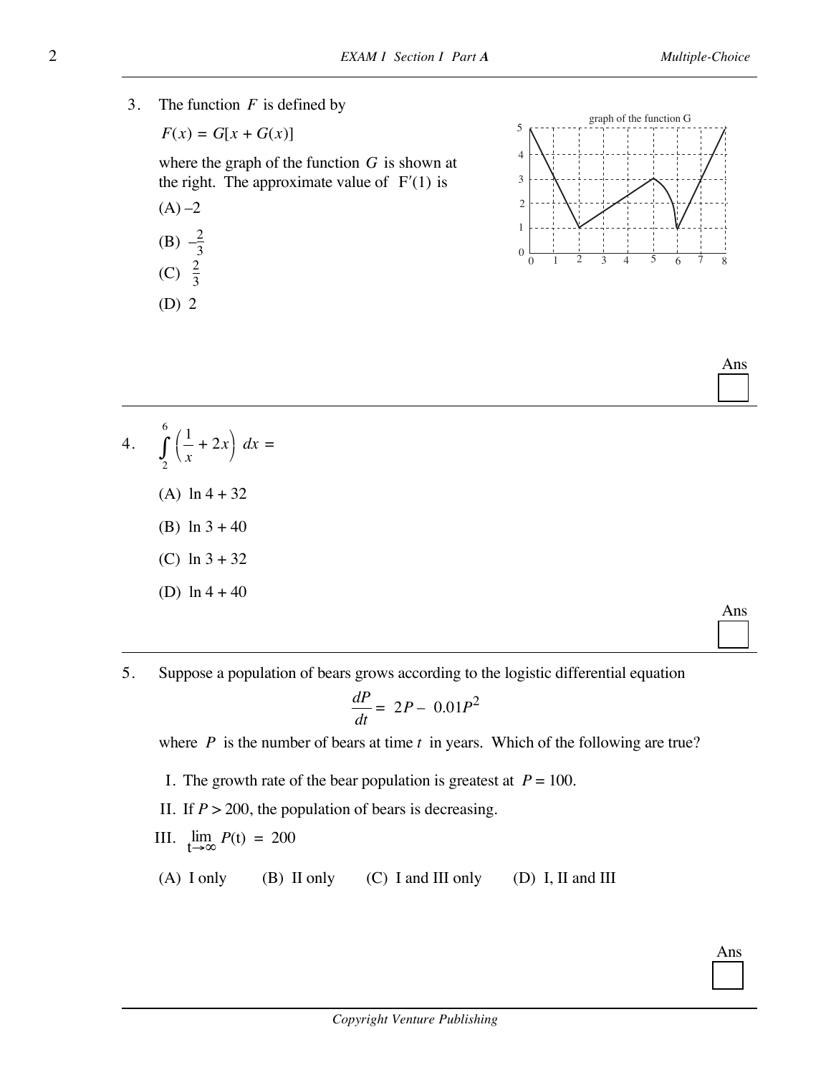# 3. The function *F* is defined by

 $F(x) = G[x + G(x)]$ 

where the graph of the function *G* is shown at the right. The approximate value of  $F'(1)$  is  $(A) -2$ 

- (B)  $-\frac{2}{3}$
- (C)  $\frac{2}{3}$
- (D) 2



Ans

4. 
$$
\int_{2}^{6} \left(\frac{1}{x} + 2x\right) dx =
$$
  
(A) ln 4 + 32  
(B) ln 3 + 40  
(C) ln 3 + 32

(D)  $\ln 4 + 40$ 

Ans

Ans

5. Suppose a population of bears grows according to the logistic differential equation

$$
\frac{dP}{dt} = 2P - 0.01P^2
$$

where *P* is the number of bears at time *t* in years. Which of the following are true?

- I. The growth rate of the bear population is greatest at  $P = 100$ .
- II. If  $P > 200$ , the population of bears is decreasing.

III. 
$$
\lim_{t \to \infty} P(t) = 200
$$

 $\overline{a}$ 

(A) I only (B) II only (C) I and III only (D) I, II and III

 $\overline{a}$ 

 $\overline{a}$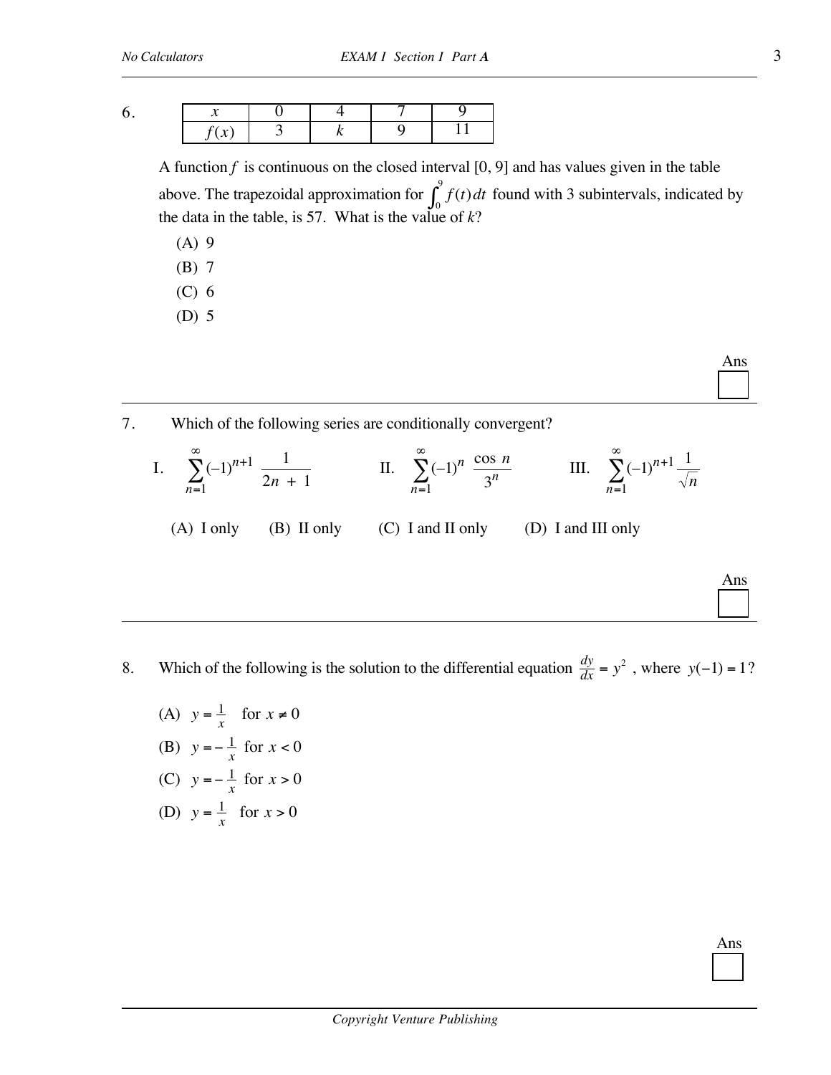| - - |  |  |
|-----|--|--|

A function *f* is continuous on the closed interval [0, 9] and has values given in the table above. The trapezoidal approximation for  $\int_0^9 f(t) dt$  found with 3 subintervals, indicated by the data in the table, is 57. What is the value of *k*?

- (A) 9
- (B) 7
- (C) 6
- (D) 5



- 8. Which of the following is the solution to the differential equation  $\frac{dy}{dx} = y^2$ , where  $y(-1) = 1$ ?
	- (A)  $y = \frac{1}{x}$  for  $x \neq 0$
	- (B)  $y = -\frac{1}{x}$  for  $x < 0$ (C)  $y = -\frac{1}{x}$  for  $x > 0$

(D) 
$$
y = \frac{1}{x}
$$
 for  $x > 0$ 

 $\overline{a}$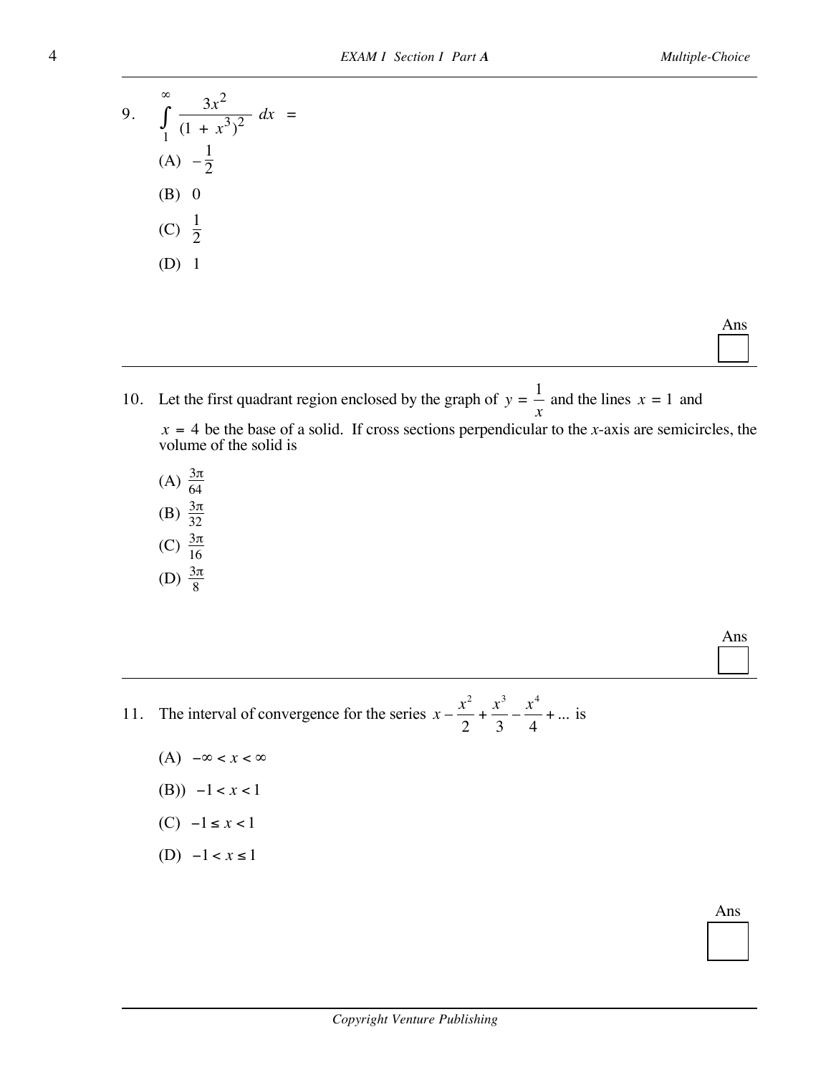Ans

| 9. $\int_{1}^{\infty} \frac{3x^2}{(1+x^3)^2} dx =$<br>(A) $-\frac{1}{2}$ |
|--------------------------------------------------------------------------|
|                                                                          |
| (B) 0                                                                    |
| (C) $\frac{1}{2}$<br>(D) 1                                               |
|                                                                          |
|                                                                          |
|                                                                          |

- 10. Let the first quadrant region enclosed by the graph of  $y = \frac{1}{x}$  and the lines  $x = 1$  and  $x = 4$  be the base of a solid. If cross sections perpendicular to the *x*-axis are semicircles, the volume of the solid is
	- (A)  $\frac{3\pi}{64}$

 $\overline{a}$ 

 $\overline{a}$ 

- (B)  $\frac{3\pi}{32}$
- (C)  $\frac{3\pi}{16}$
- (D)  $\frac{3\pi}{8}$
- 11. The interval of convergence for the series  $x \frac{x^2}{2} + \frac{x^3}{2} \frac{x^4}{4} + ...$ 234  $+\frac{x}{2} - \frac{x}{4} + ...$  is
	- $(A)$  –∞ < *x* < ∞
	- (B))  $-1 < x < 1$
	- $(C) -1 ≤ x < 1$
	- (D)  $-1 < x ≤ 1$

 $\overline{a}$ 

Ans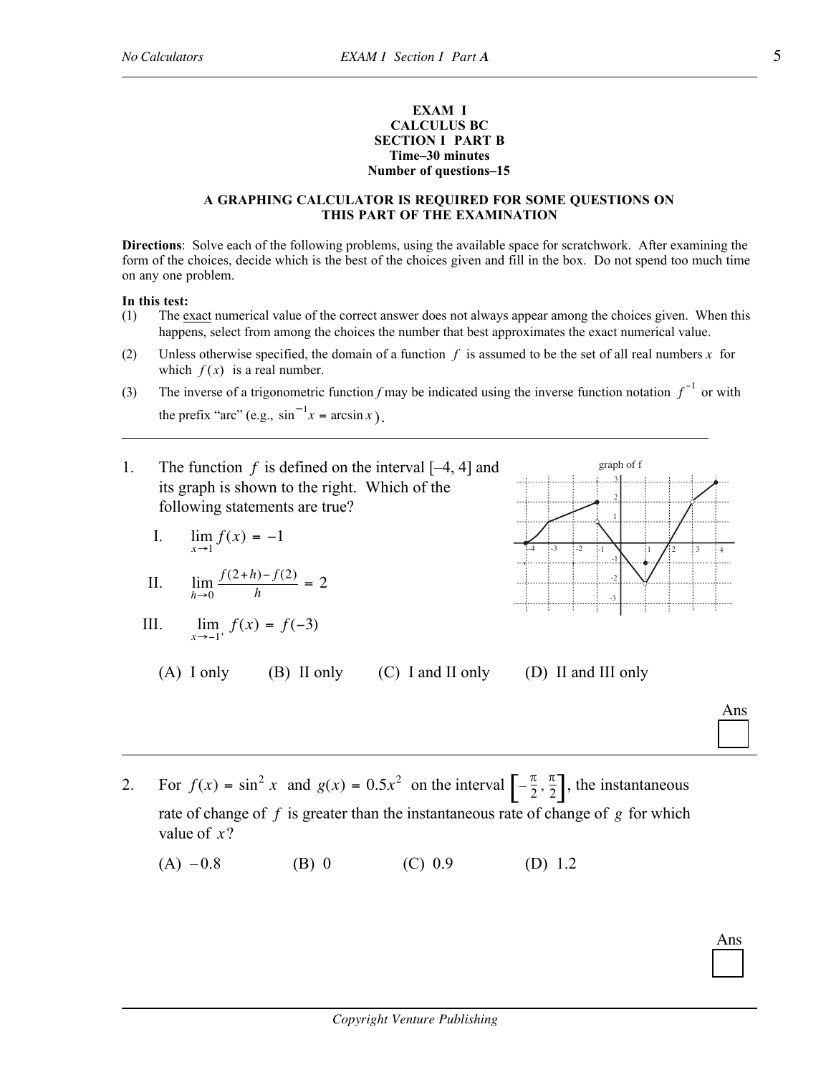#### **EXAM I CALCULUS BC SECTION I PART B Time–30 minutes Number of questions–15**

#### **A GRAPHING CALCULATOR IS REQUIRED FOR SOME QUESTIONS ON THIS PART OF THE EXAMINATION**

**Directions**: Solve each of the following problems, using the available space for scratchwork. After examining the form of the choices, decide which is the best of the choices given and fill in the box. Do not spend too much time on any one problem.

#### **In this test:**

 $\overline{a}$ 

- (1) The exact numerical value of the correct answer does not always appear among the choices given. When this happens, select from among the choices the number that best approximates the exact numerical value.
- (2) Unless otherwise specified, the domain of a function *f* is assumed to be the set of all real numbers *x* for which  $f(x)$  is a real number.
- (3) The inverse of a trigonometric function *f* may be indicated using the inverse function notation  $f^{-1}$  or with the prefix "arc" (e.g.,  $\sin^{-1} x = \arcsin x$ ).
- 1. The function *f* is defined on the interval [–4, 4] and its graph is shown to the right. Which of the following statements are true? I.  $\lim_{x \to 1} f(x) = -1$ II.  $\lim_{h \to 0} \frac{f(2+h) - f(2)}{h}$  $f(2+h)-f$  $\lim_{h \to 0} \frac{f(2+h)-f(2)}{h} = 2$ III.  $\lim_{x \to -1^+} f(x) = f(-3)$  $-3$   $-2$   $-1$   $\sqrt{2}$   $-1$   $-2$   $-3$   $-4$ -2 -1 1 2 -3 –4 3 graph of f (A) I only (B) II only (C) I and II only (D) II and III only Ans  $\overline{a}$ 2. For  $f(x) = \sin^2 x$  and  $g(x) = 0.5x^2$  on the interval  $\left[-\frac{\pi}{2}, \frac{\pi}{2}\right]$ , the instantaneous
	- rate of change of *f* is greater than the instantaneous rate of change of *g* for which value of *x*?
	- $(A)$  0.8 (B) 0 (C) 0.9 (D) 1.2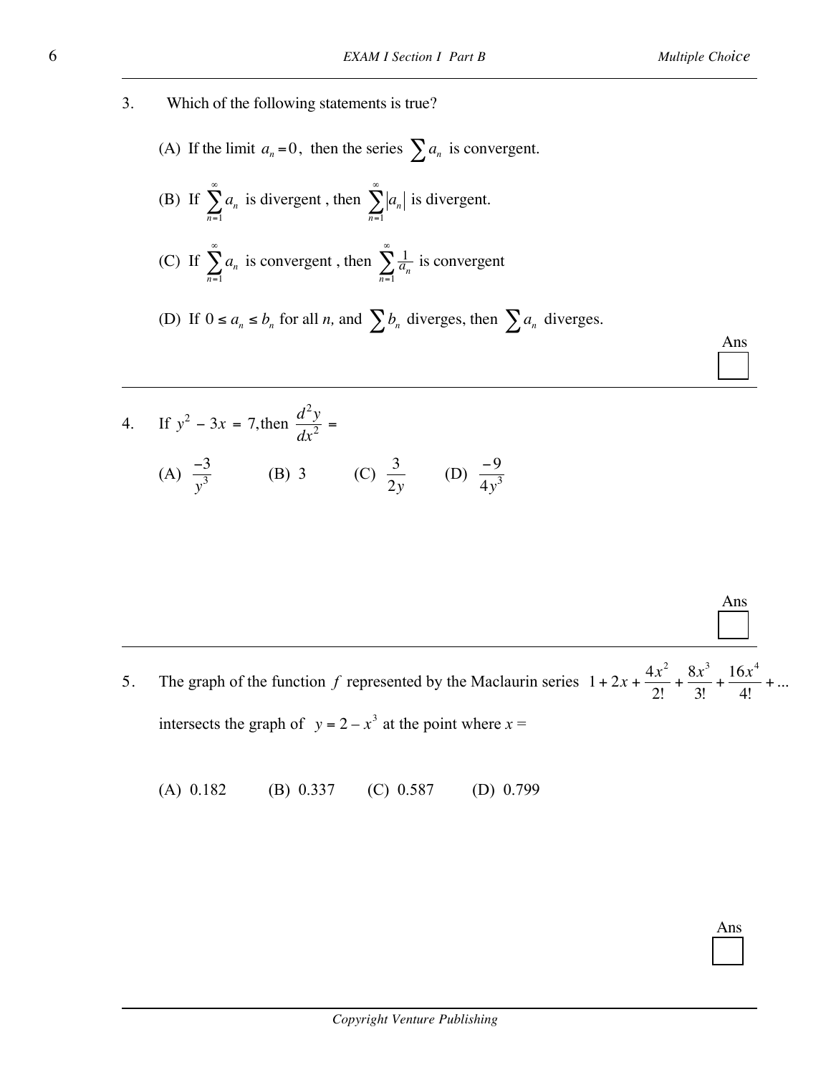Ans

Ans



- (A) If the limit  $a_n = 0$ , then the series  $\sum a_n$  is convergent.
- (B) If  $\sum a_n$ *n*=  $\sum_{n=1}^{\infty}$ is divergent, then  $\sum a_n$ *n*=  $\sum_{n=1}^{\infty}$ is divergent.

(C) If 
$$
\sum_{n=1}^{\infty} a_n
$$
 is convergent, then  $\sum_{n=1}^{\infty} \frac{1}{a_n}$  is convergent

- (D) If  $0 \le a_n \le b_n$  for all *n*, and  $\sum b_n$  diverges, then  $\sum a_n$  diverges.
- 4. If  $y^2 3x = 7$ , then  $\frac{d^2y}{dx^2}$ *dx* 2  $\frac{y}{2}$  =  $(A) \frac{-3}{3}$ 3 *y* (B) 3 (C)  $\frac{3}{2}$ 2*y* (D)  $\frac{-9}{4}$  $4y^3$

5. The graph of the function f represented by the Maclaurin series  $1 + 2x + \frac{4}{x}$ 2 8 3 16 4 2  $8x^3$   $16x^4$  $+ 2x + \frac{4x^2}{2!} + \frac{8x^3}{3!} + \frac{16x^4}{4!} + ...$ intersects the graph of  $y = 2 - x^3$  at the point where  $x =$ 

(A) 0.182 (B) 0.337 (C) 0.587 (D) 0.799

Ans

 $\overline{a}$ 

 $\overline{a}$ 

 $\overline{a}$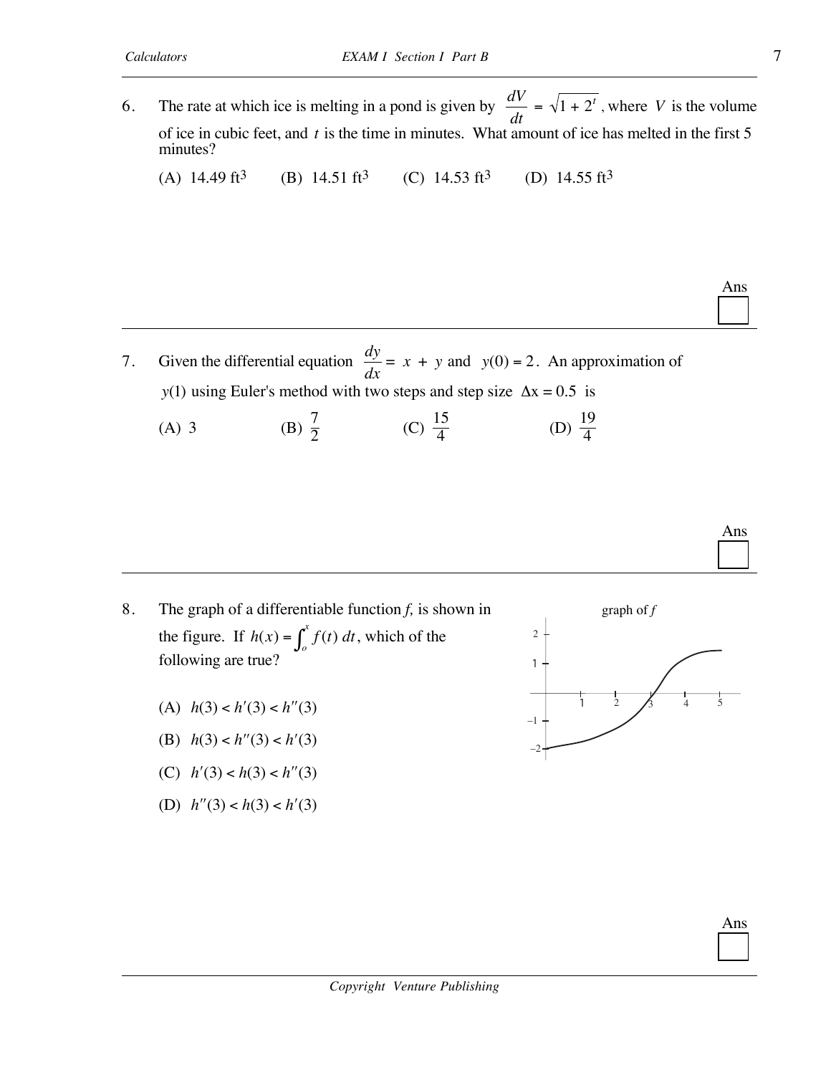$\overline{a}$ 

 $\overline{a}$ 

6. The rate at which ice is melting in a pond is given by  $\frac{dV}{dt}$ *dt*  $\sqrt{1 + 2^t}$ , where *V* is the volume of ice in cubic feet, and *t* is the time in minutes. What amount of ice has melted in the first 5 minutes?

(A) 14.49 ft<sup>3</sup> (B) 14.51 ft<sup>3</sup> (C) 14.53 ft<sup>3</sup> (D) 14.55 ft<sup>3</sup>

- 7. Given the differential equation  $\frac{dy}{dx}$ *dx*  $= x + y$  and  $y(0) = 2$ . An approximation of *y*(1) using Euler's method with two steps and step size  $\Delta x = 0.5$  is
	- (A) 3 (B)  $\frac{7}{2}$  (C)  $\frac{15}{4}$  (D)  $\frac{19}{4}$



- 8. The graph of a differentiable function *f,* is shown in the figure. If  $h(x) = \int_0^x f(t) dt$ , which of the following are true?
	- (A)  $h(3) < h'(3) < h''(3)$
	- (B)  $h(3) < h''(3) < h'(3)$
	- (C)  $h'(3) < h(3) < h''(3)$
	- (D)  $h''(3) < h(3) < h'(3)$

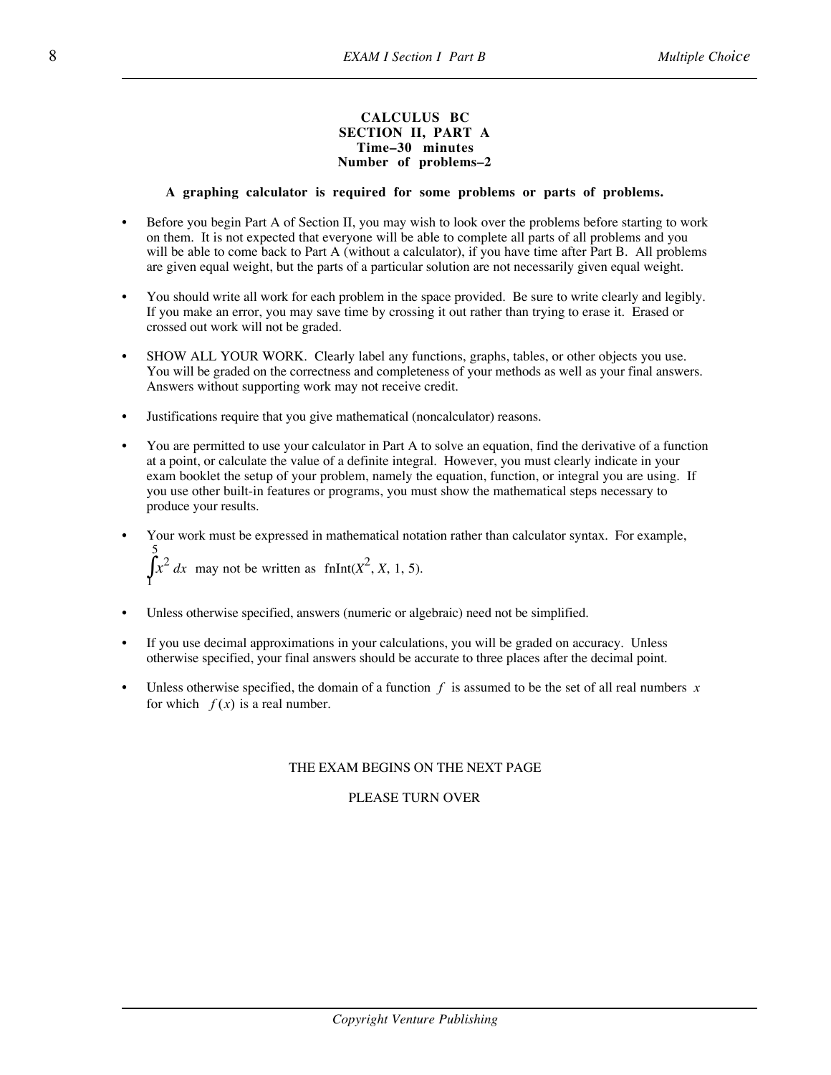#### **CALCULUS BC SECTION II, PART A Time–30 minutes Number of problems–2**

# **A graphing calculator is required for some problems or parts of problems.**

- Before you begin Part A of Section II, you may wish to look over the problems before starting to work on them. It is not expected that everyone will be able to complete all parts of all problems and you will be able to come back to Part A (without a calculator), if you have time after Part B. All problems are given equal weight, but the parts of a particular solution are not necessarily given equal weight.
- You should write all work for each problem in the space provided. Be sure to write clearly and legibly. If you make an error, you may save time by crossing it out rather than trying to erase it. Erased or crossed out work will not be graded.
- SHOW ALL YOUR WORK. Clearly label any functions, graphs, tables, or other objects you use. You will be graded on the correctness and completeness of your methods as well as your final answers. Answers without supporting work may not receive credit.
- Justifications require that you give mathematical (noncalculator) reasons.
- You are permitted to use your calculator in Part A to solve an equation, find the derivative of a function at a point, or calculate the value of a definite integral. However, you must clearly indicate in your exam booklet the setup of your problem, namely the equation, function, or integral you are using. If you use other built-in features or programs, you must show the mathematical steps necessary to produce your results.
- Your work must be expressed in mathematical notation rather than calculator syntax. For example, ∫ 1 5  $\int x^2 dx$  may not be written as fnInt( $X^2$ , X, 1, 5).
- Unless otherwise specified, answers (numeric or algebraic) need not be simplified.
- If you use decimal approximations in your calculations, you will be graded on accuracy. Unless otherwise specified, your final answers should be accurate to three places after the decimal point.
- Unless otherwise specified, the domain of a function  $f$  is assumed to be the set of all real numbers  $x$ for which  $f(x)$  is a real number.

# THE EXAM BEGINS ON THE NEXT PAGE

# PLEASE TURN OVER

 $\overline{a}$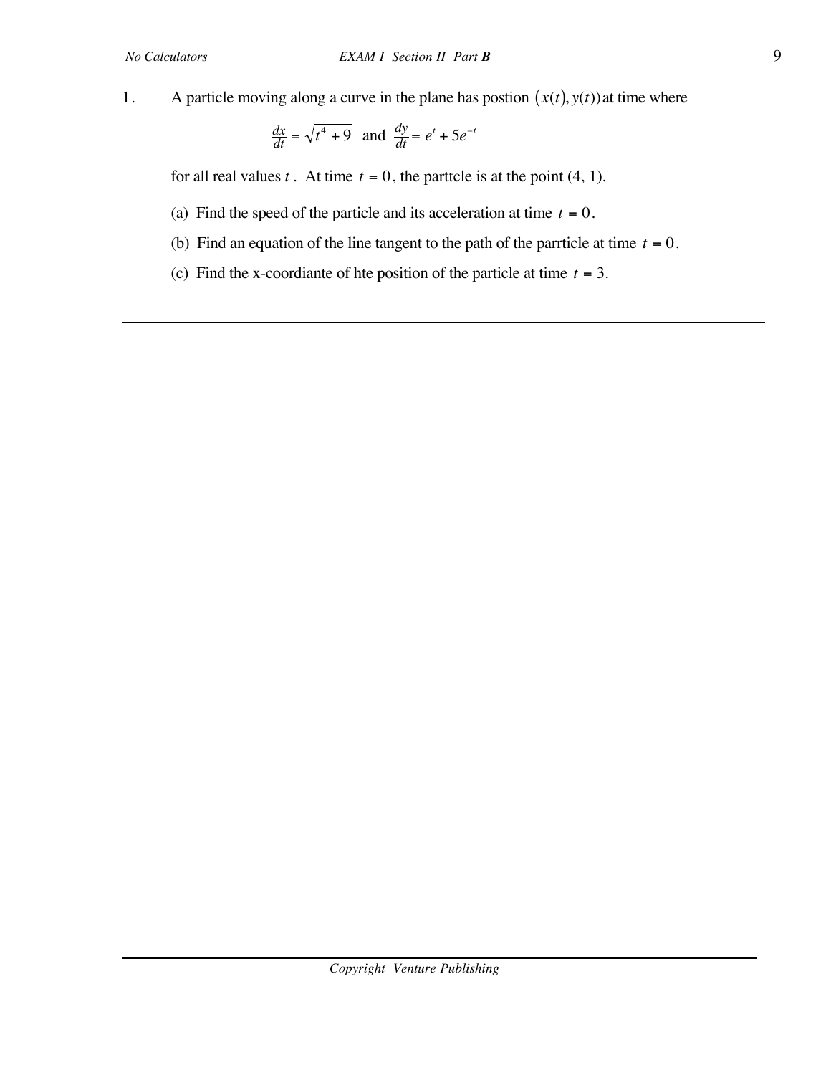$\overline{a}$ 

1. A particle moving along a curve in the plane has postion  $(x(t), y(t))$  at time where

$$
\frac{dx}{dt} = \sqrt{t^4 + 9} \text{ and } \frac{dy}{dt} = e^t + 5e^{-t}
$$

for all real values  $t$ . At time  $t = 0$ , the parttcle is at the point  $(4, 1)$ .

- (a) Find the speed of the particle and its acceleration at time  $t = 0$ .
- (b) Find an equation of the line tangent to the path of the parrticle at time  $t = 0$ .
- (c) Find the x-coordiante of hte position of the particle at time *t* = 3.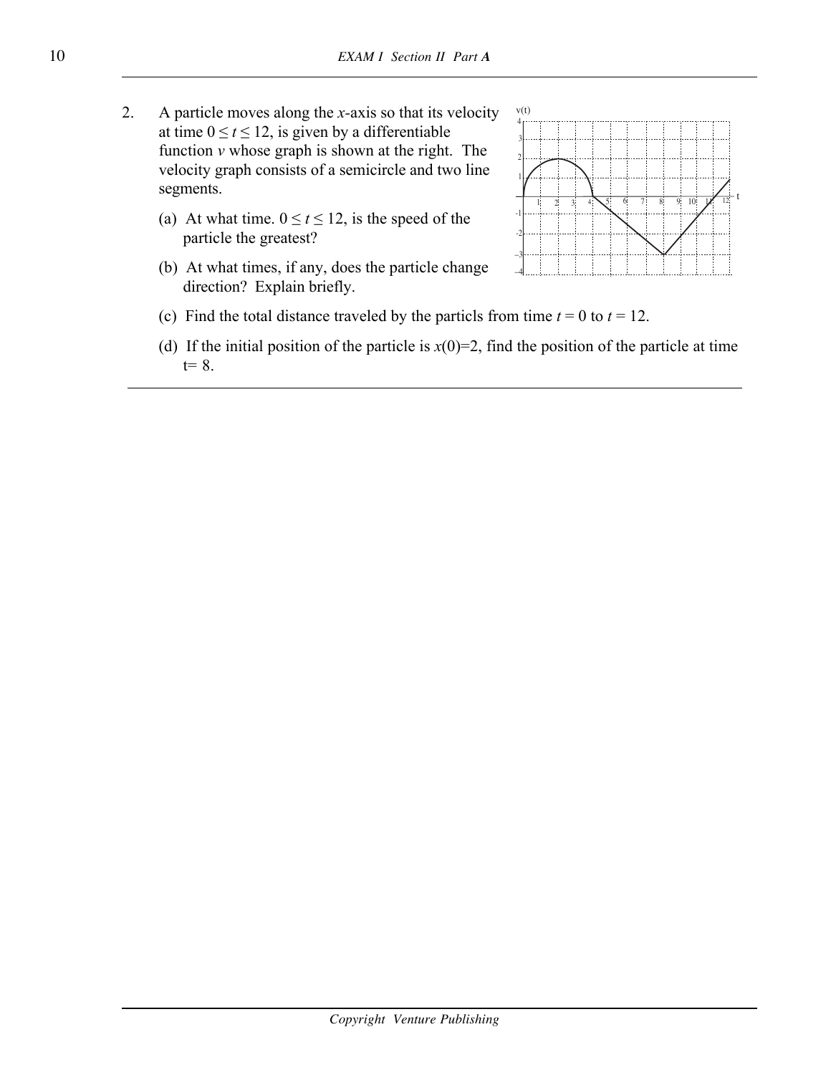- 2. A particle moves along the *x-*axis so that its velocity at time  $0 \le t \le 12$ , is given by a differentiable function  $\nu$  whose graph is shown at the right. The velocity graph consists of a semicircle and two line segments.
	- (a) At what time.  $0 \le t \le 12$ , is the speed of the particle the greatest?
	- (b) At what times, if any, does the particle change direction? Explain briefly.



- (c) Find the total distance traveled by the particls from time  $t = 0$  to  $t = 12$ .
- (d) If the initial position of the particle is  $x(0)=2$ , find the position of the particle at time  $t= 8$ .

 $\overline{a}$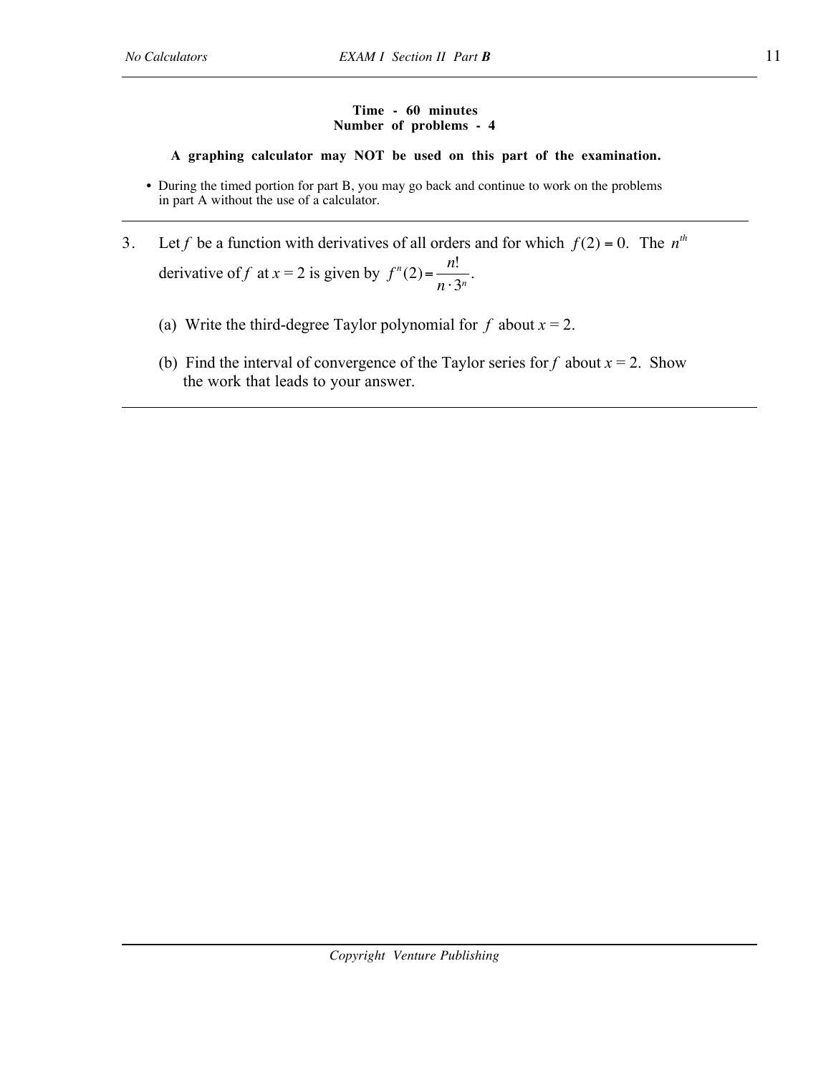$\overline{a}$ 

 $\overline{a}$ 

# **Time - 60 minutes Number of problems - 4**

**A graphing calculator may NOT be used on this part of the examination.**

- During the timed portion for part B, you may go back and continue to work on the problems in part A without the use of a calculator.
- 3. Let *f* be a function with derivatives of all orders and for which  $f(2) = 0$ . The  $n^{th}$ derivative of *f* at  $x = 2$  is given by  $f^n(2) = \frac{n}{2}$ *n*  $n^{n}(2) = \frac{n!}{n \cdot 3^{n}}.$ 
	- (a) Write the third-degree Taylor polynomial for  $f$  about  $x = 2$ .
	- (b) Find the interval of convergence of the Taylor series for *f* about  $x = 2$ . Show the work that leads to your answer.